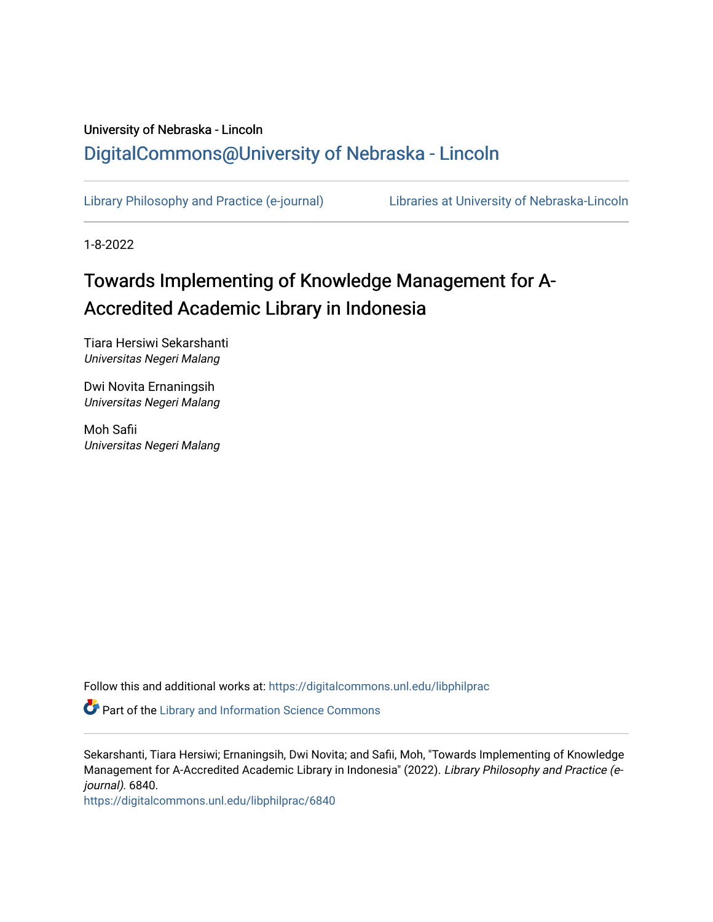## University of Nebraska - Lincoln [DigitalCommons@University of Nebraska - Lincoln](https://digitalcommons.unl.edu/)

[Library Philosophy and Practice \(e-journal\)](https://digitalcommons.unl.edu/libphilprac) [Libraries at University of Nebraska-Lincoln](https://digitalcommons.unl.edu/libraries) 

1-8-2022

# Towards Implementing of Knowledge Management for A-Accredited Academic Library in Indonesia

Tiara Hersiwi Sekarshanti Universitas Negeri Malang

Dwi Novita Ernaningsih Universitas Negeri Malang

Moh Safii Universitas Negeri Malang

Follow this and additional works at: [https://digitalcommons.unl.edu/libphilprac](https://digitalcommons.unl.edu/libphilprac?utm_source=digitalcommons.unl.edu%2Flibphilprac%2F6840&utm_medium=PDF&utm_campaign=PDFCoverPages) 

Part of the [Library and Information Science Commons](http://network.bepress.com/hgg/discipline/1018?utm_source=digitalcommons.unl.edu%2Flibphilprac%2F6840&utm_medium=PDF&utm_campaign=PDFCoverPages) 

Sekarshanti, Tiara Hersiwi; Ernaningsih, Dwi Novita; and Safii, Moh, "Towards Implementing of Knowledge Management for A-Accredited Academic Library in Indonesia" (2022). Library Philosophy and Practice (ejournal). 6840.

[https://digitalcommons.unl.edu/libphilprac/6840](https://digitalcommons.unl.edu/libphilprac/6840?utm_source=digitalcommons.unl.edu%2Flibphilprac%2F6840&utm_medium=PDF&utm_campaign=PDFCoverPages)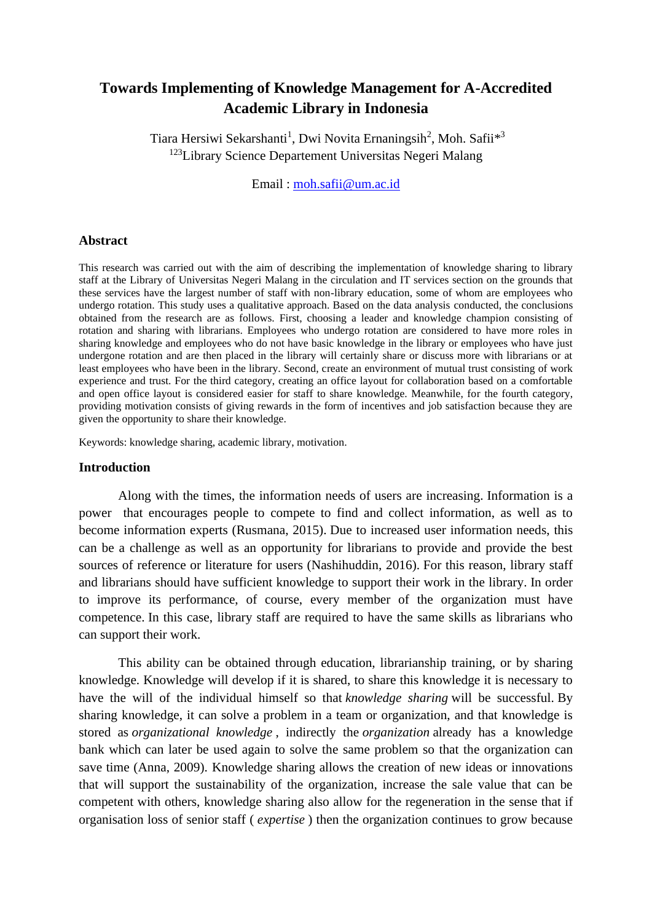### **Towards Implementing of Knowledge Management for A-Accredited Academic Library in Indonesia**

Tiara Hersiwi Sekarshanti<sup>1</sup>, Dwi Novita Ernaningsih<sup>2</sup>, Moh. Safii<sup>\*3</sup> <sup>123</sup>Library Science Departement Universitas Negeri Malang

Email : [moh.safii@um.ac.id](mailto:moh.safii@um.ac.id)

#### **Abstract**

This research was carried out with the aim of describing the implementation of knowledge sharing to library staff at the Library of Universitas Negeri Malang in the circulation and IT services section on the grounds that these services have the largest number of staff with non-library education, some of whom are employees who undergo rotation. This study uses a qualitative approach. Based on the data analysis conducted, the conclusions obtained from the research are as follows. First, choosing a leader and knowledge champion consisting of rotation and sharing with librarians. Employees who undergo rotation are considered to have more roles in sharing knowledge and employees who do not have basic knowledge in the library or employees who have just undergone rotation and are then placed in the library will certainly share or discuss more with librarians or at least employees who have been in the library. Second, create an environment of mutual trust consisting of work experience and trust. For the third category, creating an office layout for collaboration based on a comfortable and open office layout is considered easier for staff to share knowledge. Meanwhile, for the fourth category, providing motivation consists of giving rewards in the form of incentives and job satisfaction because they are given the opportunity to share their knowledge.

Keywords: knowledge sharing, academic library, motivation.

#### **Introduction**

Along with the times, the information needs of users are increasing. Information is a power that encourages people to compete to find and collect information, as well as to become information experts (Rusmana, 2015). Due to increased user information needs, this can be a challenge as well as an opportunity for librarians to provide and provide the best sources of reference or literature for users (Nashihuddin, 2016). For this reason, library staff and librarians should have sufficient knowledge to support their work in the library. In order to improve its performance, of course, every member of the organization must have competence. In this case, library staff are required to have the same skills as librarians who can support their work.

This ability can be obtained through education, librarianship training, or by sharing knowledge. Knowledge will develop if it is shared, to share this knowledge it is necessary to have the will of the individual himself so that *knowledge sharing* will be successful. By sharing knowledge, it can solve a problem in a team or organization, and that knowledge is stored as *organizational knowledge* , indirectly the *organization* already has a knowledge bank which can later be used again to solve the same problem so that the organization can save time (Anna, 2009). Knowledge sharing allows the creation of new ideas or innovations that will support the sustainability of the organization, increase the sale value that can be competent with others, knowledge sharing also allow for the regeneration in the sense that if organisation loss of senior staff ( *expertise* ) then the organization continues to grow because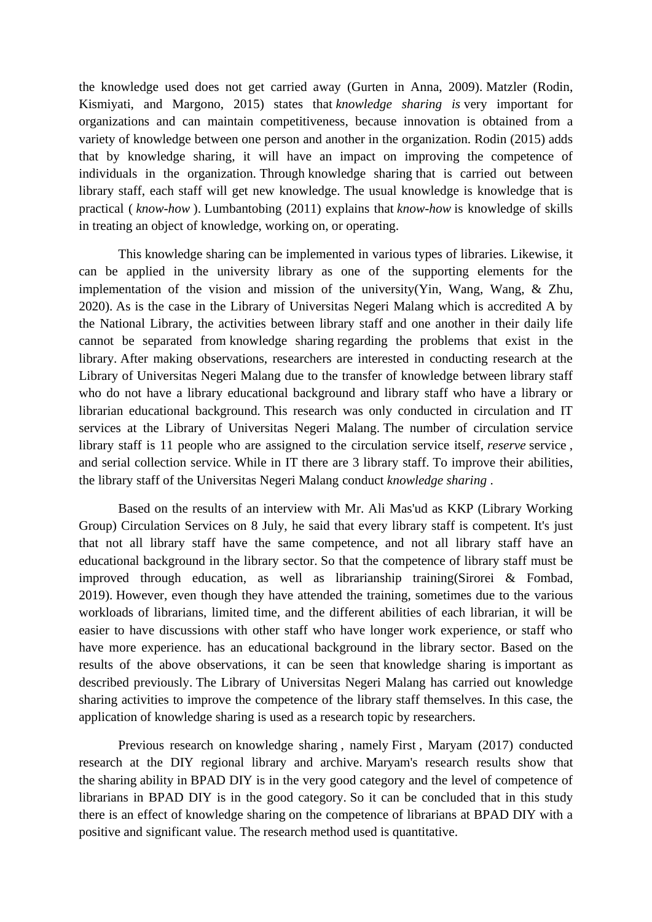the knowledge used does not get carried away (Gurten in Anna, 2009). Matzler (Rodin, Kismiyati, and Margono, 2015) states that *knowledge sharing is* very important for organizations and can maintain competitiveness, because innovation is obtained from a variety of knowledge between one person and another in the organization. Rodin (2015) adds that by knowledge sharing, it will have an impact on improving the competence of individuals in the organization. Through knowledge sharing that is carried out between library staff, each staff will get new knowledge. The usual knowledge is knowledge that is practical ( *know-how* ). Lumbantobing (2011) explains that *know-how* is knowledge of skills in treating an object of knowledge, working on, or operating.

This knowledge sharing can be implemented in various types of libraries. Likewise, it can be applied in the university library as one of the supporting elements for the implementation of the vision and mission of the university(Yin, Wang, Wang, & Zhu, 2020). As is the case in the Library of Universitas Negeri Malang which is accredited A by the National Library, the activities between library staff and one another in their daily life cannot be separated from knowledge sharing regarding the problems that exist in the library. After making observations, researchers are interested in conducting research at the Library of Universitas Negeri Malang due to the transfer of knowledge between library staff who do not have a library educational background and library staff who have a library or librarian educational background. This research was only conducted in circulation and IT services at the Library of Universitas Negeri Malang. The number of circulation service library staff is 11 people who are assigned to the circulation service itself, *reserve* service , and serial collection service. While in IT there are 3 library staff. To improve their abilities, the library staff of the Universitas Negeri Malang conduct *knowledge sharing* .

Based on the results of an interview with Mr. Ali Mas'ud as KKP (Library Working Group) Circulation Services on 8 July, he said that every library staff is competent. It's just that not all library staff have the same competence, and not all library staff have an educational background in the library sector. So that the competence of library staff must be improved through education, as well as librarianship training(Sirorei & Fombad, 2019). However, even though they have attended the training, sometimes due to the various workloads of librarians, limited time, and the different abilities of each librarian, it will be easier to have discussions with other staff who have longer work experience, or staff who have more experience. has an educational background in the library sector. Based on the results of the above observations, it can be seen that knowledge sharing is important as described previously. The Library of Universitas Negeri Malang has carried out knowledge sharing activities to improve the competence of the library staff themselves. In this case, the application of knowledge sharing is used as a research topic by researchers.

Previous research on knowledge sharing , namely First , Maryam (2017) conducted research at the DIY regional library and archive. Maryam's research results show that the sharing ability in BPAD DIY is in the very good category and the level of competence of librarians in BPAD DIY is in the good category. So it can be concluded that in this study there is an effect of knowledge sharing on the competence of librarians at BPAD DIY with a positive and significant value. The research method used is quantitative.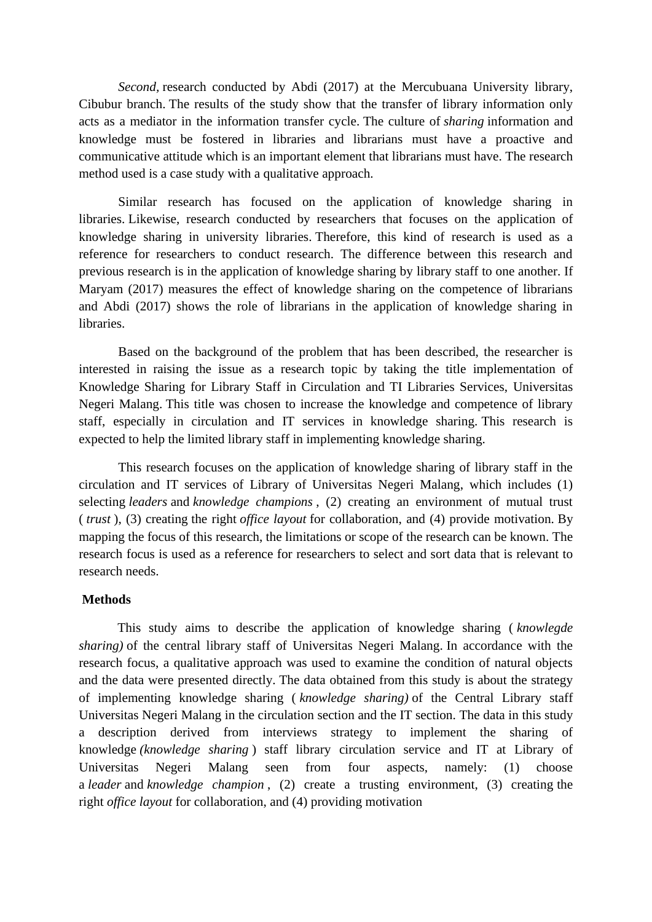*Second,* research conducted by Abdi (2017) at the Mercubuana University library, Cibubur branch. The results of the study show that the transfer of library information only acts as a mediator in the information transfer cycle. The culture of *sharing* information and knowledge must be fostered in libraries and librarians must have a proactive and communicative attitude which is an important element that librarians must have. The research method used is a case study with a qualitative approach.

Similar research has focused on the application of knowledge sharing in libraries. Likewise, research conducted by researchers that focuses on the application of knowledge sharing in university libraries. Therefore, this kind of research is used as a reference for researchers to conduct research. The difference between this research and previous research is in the application of knowledge sharing by library staff to one another. If Maryam (2017) measures the effect of knowledge sharing on the competence of librarians and Abdi (2017) shows the role of librarians in the application of knowledge sharing in libraries.

Based on the background of the problem that has been described, the researcher is interested in raising the issue as a research topic by taking the title implementation of Knowledge Sharing for Library Staff in Circulation and TI Libraries Services, Universitas Negeri Malang. This title was chosen to increase the knowledge and competence of library staff, especially in circulation and IT services in knowledge sharing. This research is expected to help the limited library staff in implementing knowledge sharing.

This research focuses on the application of knowledge sharing of library staff in the circulation and IT services of Library of Universitas Negeri Malang, which includes (1) selecting *leaders* and *knowledge champions* , (2) creating an environment of mutual trust ( *trust* ), (3) creating the right *office layout* for collaboration, and (4) provide motivation. By mapping the focus of this research, the limitations or scope of the research can be known. The research focus is used as a reference for researchers to select and sort data that is relevant to research needs.

#### **Methods**

This study aims to describe the application of knowledge sharing ( *knowlegde sharing)* of the central library staff of Universitas Negeri Malang. In accordance with the research focus, a qualitative approach was used to examine the condition of natural objects and the data were presented directly. The data obtained from this study is about the strategy of implementing knowledge sharing ( *knowledge sharing)* of the Central Library staff Universitas Negeri Malang in the circulation section and the IT section. The data in this study a description derived from interviews strategy to implement the sharing of knowledge *(knowledge sharing* ) staff library circulation service and IT at Library of Universitas Negeri Malang seen from four aspects, namely: (1) choose a *leader* and *knowledge champion* , (2) create a trusting environment, (3) creating the right *office layout* for collaboration, and (4) providing motivation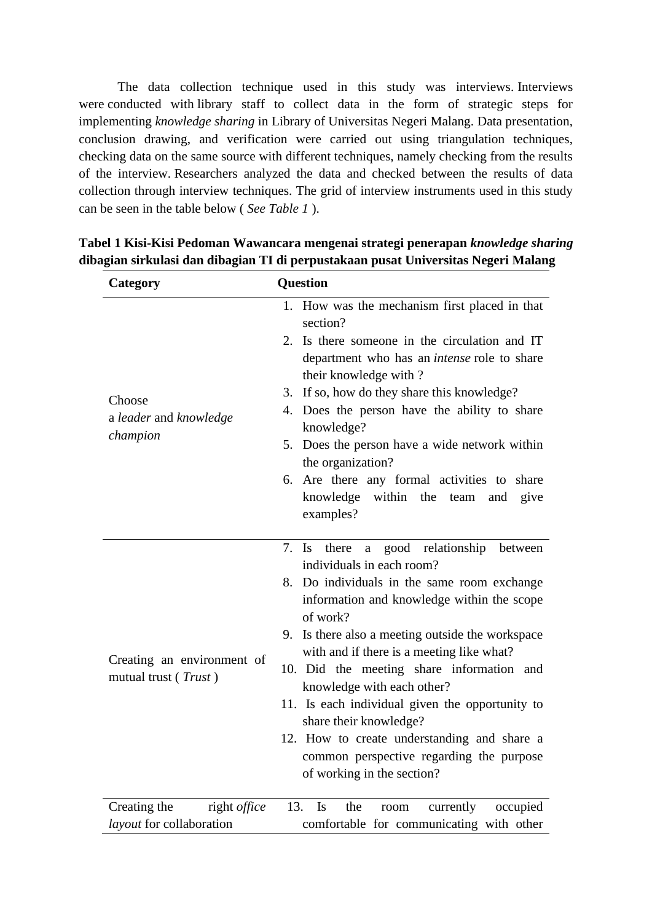The data collection technique used in this study was interviews. Interviews were conducted with library staff to collect data in the form of strategic steps for implementing *knowledge sharing* in Library of Universitas Negeri Malang. Data presentation, conclusion drawing, and verification were carried out using triangulation techniques, checking data on the same source with different techniques, namely checking from the results of the interview. Researchers analyzed the data and checked between the results of data collection through interview techniques. The grid of interview instruments used in this study can be seen in the table below ( *See Table 1* ).

| Category                                           | Question                                                                                                                                                                                                                                                                                                                                                                                                                                                                                                                                                                                                 |
|----------------------------------------------------|----------------------------------------------------------------------------------------------------------------------------------------------------------------------------------------------------------------------------------------------------------------------------------------------------------------------------------------------------------------------------------------------------------------------------------------------------------------------------------------------------------------------------------------------------------------------------------------------------------|
| Choose<br>a leader and knowledge<br>champion       | 1. How was the mechanism first placed in that<br>section?<br>2. Is there someone in the circulation and IT<br>department who has an <i>intense</i> role to share<br>their knowledge with?<br>If so, how do they share this knowledge?<br>3.<br>4. Does the person have the ability to share<br>knowledge?<br>5. Does the person have a wide network within<br>the organization?<br>6. Are there any formal activities to share<br>knowledge within the team<br>and<br>give<br>examples?                                                                                                                  |
| Creating an environment of<br>mutual trust (Trust) | good relationship<br>7.<br>$\mathbf{I}$ s<br>there<br>between<br>$\mathbf{a}$<br>individuals in each room?<br>Do individuals in the same room exchange<br>8.<br>information and knowledge within the scope<br>of work?<br>9. Is there also a meeting outside the workspace<br>with and if there is a meeting like what?<br>10. Did the meeting share information and<br>knowledge with each other?<br>11. Is each individual given the opportunity to<br>share their knowledge?<br>12. How to create understanding and share a<br>common perspective regarding the purpose<br>of working in the section? |
| right office<br>Creating the                       | 13.<br>Is<br>the<br>currently<br>occupied<br>room                                                                                                                                                                                                                                                                                                                                                                                                                                                                                                                                                        |
| layout for collaboration                           | comfortable for communicating with other                                                                                                                                                                                                                                                                                                                                                                                                                                                                                                                                                                 |

**Tabel 1 Kisi-Kisi Pedoman Wawancara mengenai strategi penerapan** *knowledge sharing* **dibagian sirkulasi dan dibagian TI di perpustakaan pusat Universitas Negeri Malang**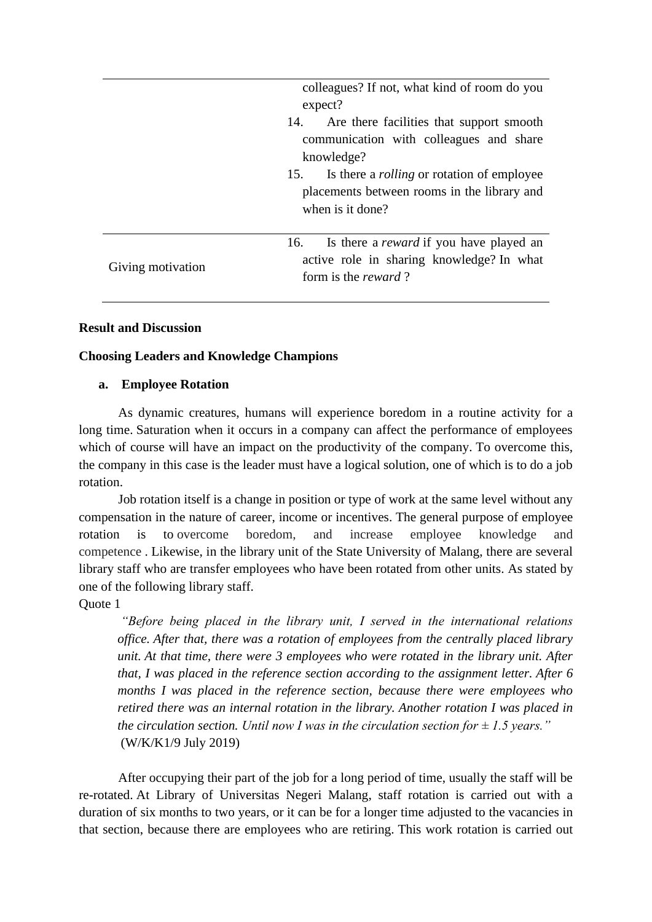|                   | colleagues? If not, what kind of room do you                                               |
|-------------------|--------------------------------------------------------------------------------------------|
|                   | expect?                                                                                    |
|                   | Are there facilities that support smooth<br>14.<br>communication with colleagues and share |
|                   | knowledge?                                                                                 |
|                   | 15. Is there a <i>rolling</i> or rotation of employee                                      |
|                   | placements between rooms in the library and                                                |
|                   | when is it done?                                                                           |
|                   |                                                                                            |
|                   | Is there a <i>reward</i> if you have played an<br>16.                                      |
| Giving motivation | active role in sharing knowledge? In what                                                  |
|                   | form is the reward?                                                                        |
|                   |                                                                                            |

#### **Result and Discussion**

#### **Choosing Leaders and Knowledge Champions**

#### **a. Employee Rotation**

As dynamic creatures, humans will experience boredom in a routine activity for a long time. Saturation when it occurs in a company can affect the performance of employees which of course will have an impact on the productivity of the company. To overcome this, the company in this case is the leader must have a logical solution, one of which is to do a job rotation.

Job rotation itself is a change in position or type of work at the same level without any compensation in the nature of career, income or incentives. The general purpose of employee rotation is to overcome boredom, and increase employee knowledge and competence . Likewise, in the library unit of the State University of Malang, there are several library staff who are transfer employees who have been rotated from other units. As stated by one of the following library staff.

Quote 1

*"Before being placed in the library unit, I served in the international relations office. After that, there was a rotation of employees from the centrally placed library unit. At that time, there were 3 employees who were rotated in the library unit. After that, I was placed in the reference section according to the assignment letter. After 6 months I was placed in the reference section, because there were employees who retired there was an internal rotation in the library. Another rotation I was placed in the circulation section. Until now I was in the circulation section for*  $\pm$  *1.5 years.*" (W/K/K1/9 July 2019)

After occupying their part of the job for a long period of time, usually the staff will be re-rotated. At Library of Universitas Negeri Malang, staff rotation is carried out with a duration of six months to two years, or it can be for a longer time adjusted to the vacancies in that section, because there are employees who are retiring. This work rotation is carried out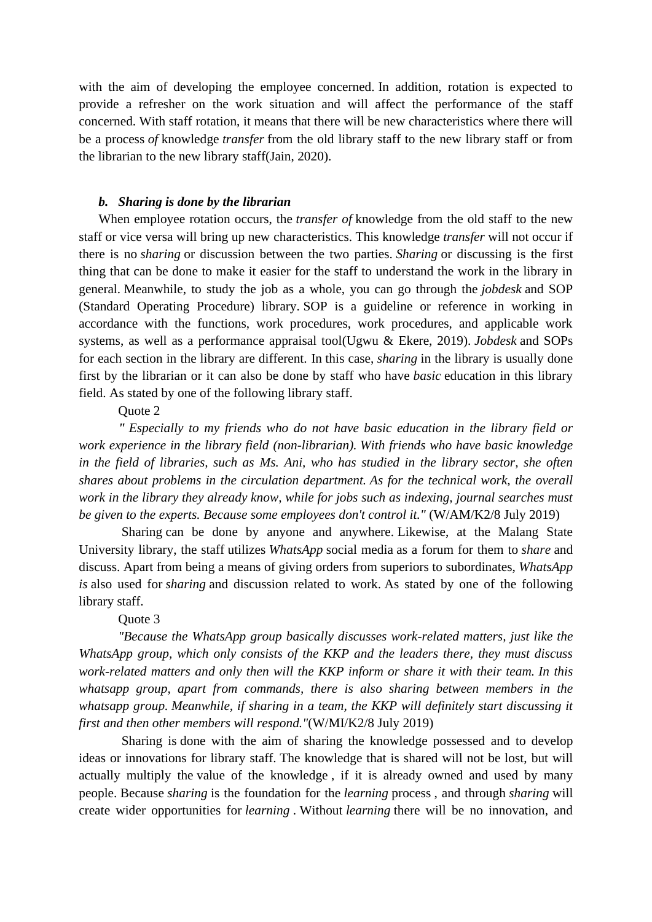with the aim of developing the employee concerned. In addition, rotation is expected to provide a refresher on the work situation and will affect the performance of the staff concerned. With staff rotation, it means that there will be new characteristics where there will be a process *of* knowledge *transfer* from the old library staff to the new library staff or from the librarian to the new library staff(Jain, 2020).

#### *b. Sharing is done by the librarian*

When employee rotation occurs, the *transfer of* knowledge from the old staff to the new staff or vice versa will bring up new characteristics. This knowledge *transfer* will not occur if there is no *sharing* or discussion between the two parties. *Sharing* or discussing is the first thing that can be done to make it easier for the staff to understand the work in the library in general. Meanwhile, to study the job as a whole, you can go through the *jobdesk* and SOP (Standard Operating Procedure) library. SOP is a guideline or reference in working in accordance with the functions, work procedures, work procedures, and applicable work systems, as well as a performance appraisal tool(Ugwu & Ekere, 2019). *Jobdesk* and SOPs for each section in the library are different. In this case, *sharing* in the library is usually done first by the librarian or it can also be done by staff who have *basic* education in this library field. As stated by one of the following library staff.

#### Quote 2

*" Especially to my friends who do not have basic education in the library field or work experience in the library field (non-librarian). With friends who have basic knowledge in the field of libraries, such as Ms. Ani, who has studied in the library sector, she often shares about problems in the circulation department. As for the technical work, the overall work in the library they already know, while for jobs such as indexing, journal searches must be given to the experts. Because some employees don't control it."* (W/AM/K2/8 July 2019)

Sharing can be done by anyone and anywhere. Likewise, at the Malang State University library, the staff utilizes *WhatsApp* social media as a forum for them to *share* and discuss. Apart from being a means of giving orders from superiors to subordinates, *WhatsApp is* also used for *sharing* and discussion related to work. As stated by one of the following library staff.

#### Quote 3

*"Because the WhatsApp group basically discusses work-related matters, just like the WhatsApp group, which only consists of the KKP and the leaders there, they must discuss work-related matters and only then will the KKP inform or share it with their team. In this whatsapp group, apart from commands, there is also sharing between members in the whatsapp group. Meanwhile, if sharing in a team, the KKP will definitely start discussing it first and then other members will respond."*(W/MI/K2/8 July 2019)

Sharing is done with the aim of sharing the knowledge possessed and to develop ideas or innovations for library staff. The knowledge that is shared will not be lost, but will actually multiply the value of the knowledge , if it is already owned and used by many people. Because *sharing* is the foundation for the *learning* process , and through *sharing* will create wider opportunities for *learning* . Without *learning* there will be no innovation, and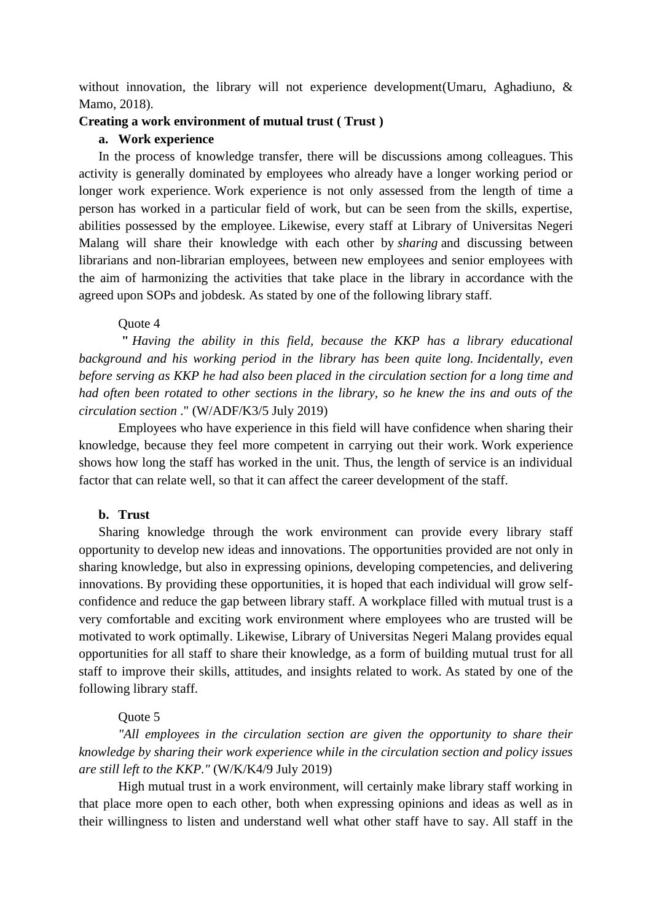without innovation, the library will not experience development (Umaru, Aghadiuno, & Mamo, 2018).

#### **Creating a work environment of mutual trust ( Trust )**

#### **a. Work experience**

In the process of knowledge transfer, there will be discussions among colleagues. This activity is generally dominated by employees who already have a longer working period or longer work experience. Work experience is not only assessed from the length of time a person has worked in a particular field of work, but can be seen from the skills, expertise, abilities possessed by the employee. Likewise, every staff at Library of Universitas Negeri Malang will share their knowledge with each other by *sharing* and discussing between librarians and non-librarian employees, between new employees and senior employees with the aim of harmonizing the activities that take place in the library in accordance with the agreed upon SOPs and jobdesk. As stated by one of the following library staff.

#### Quote 4

**"** *Having the ability in this field, because the KKP has a library educational background and his working period in the library has been quite long. Incidentally, even before serving as KKP he had also been placed in the circulation section for a long time and had often been rotated to other sections in the library, so he knew the ins and outs of the circulation section* ." (W/ADF/K3/5 July 2019)

Employees who have experience in this field will have confidence when sharing their knowledge, because they feel more competent in carrying out their work. Work experience shows how long the staff has worked in the unit. Thus, the length of service is an individual factor that can relate well, so that it can affect the career development of the staff.

#### **b. Trust**

Sharing knowledge through the work environment can provide every library staff opportunity to develop new ideas and innovations. The opportunities provided are not only in sharing knowledge, but also in expressing opinions, developing competencies, and delivering innovations. By providing these opportunities, it is hoped that each individual will grow selfconfidence and reduce the gap between library staff. A workplace filled with mutual trust is a very comfortable and exciting work environment where employees who are trusted will be motivated to work optimally. Likewise, Library of Universitas Negeri Malang provides equal opportunities for all staff to share their knowledge, as a form of building mutual trust for all staff to improve their skills, attitudes, and insights related to work. As stated by one of the following library staff.

#### Quote 5

*"All employees in the circulation section are given the opportunity to share their knowledge by sharing their work experience while in the circulation section and policy issues are still left to the KKP."* (W/K/K4/9 July 2019)

High mutual trust in a work environment, will certainly make library staff working in that place more open to each other, both when expressing opinions and ideas as well as in their willingness to listen and understand well what other staff have to say. All staff in the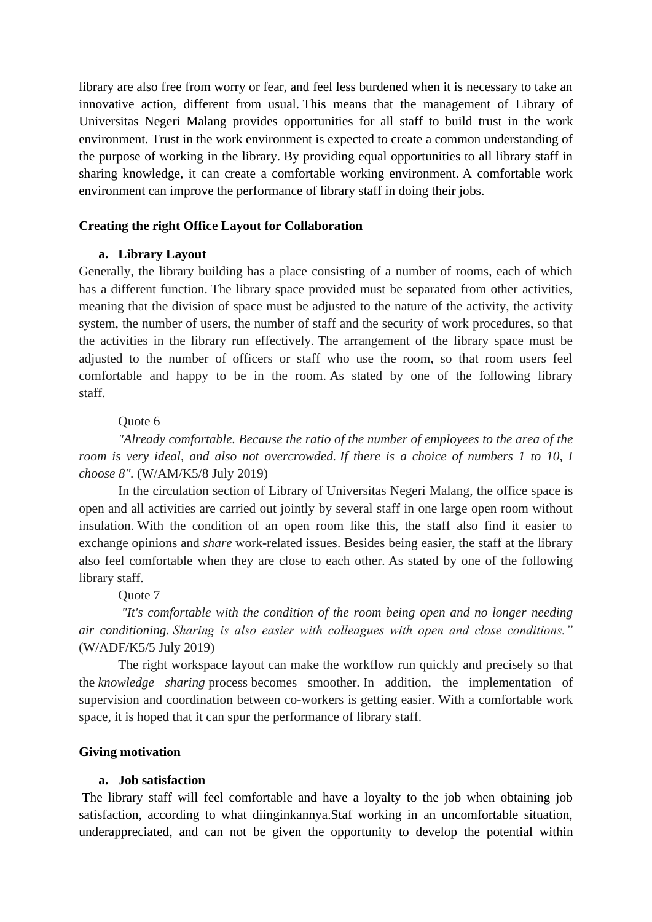library are also free from worry or fear, and feel less burdened when it is necessary to take an innovative action, different from usual. This means that the management of Library of Universitas Negeri Malang provides opportunities for all staff to build trust in the work environment. Trust in the work environment is expected to create a common understanding of the purpose of working in the library. By providing equal opportunities to all library staff in sharing knowledge, it can create a comfortable working environment. A comfortable work environment can improve the performance of library staff in doing their jobs.

#### **Creating the right Office Layout for Collaboration**

#### **a. Library Layout**

Generally, the library building has a place consisting of a number of rooms, each of which has a different function. The library space provided must be separated from other activities, meaning that the division of space must be adjusted to the nature of the activity, the activity system, the number of users, the number of staff and the security of work procedures, so that the activities in the library run effectively. The arrangement of the library space must be adjusted to the number of officers or staff who use the room, so that room users feel comfortable and happy to be in the room. As stated by one of the following library staff.

#### Quote 6

*"Already comfortable. Because the ratio of the number of employees to the area of the room is very ideal, and also not overcrowded. If there is a choice of numbers 1 to 10, I choose 8".* (W/AM/K5/8 July 2019)

In the circulation section of Library of Universitas Negeri Malang, the office space is open and all activities are carried out jointly by several staff in one large open room without insulation. With the condition of an open room like this, the staff also find it easier to exchange opinions and *share* work-related issues. Besides being easier, the staff at the library also feel comfortable when they are close to each other. As stated by one of the following library staff.

#### Quote 7

*"It's comfortable with the condition of the room being open and no longer needing air conditioning. Sharing is also easier with colleagues with open and close conditions."* (W/ADF/K5/5 July 2019)

The right workspace layout can make the workflow run quickly and precisely so that the *knowledge sharing* process becomes smoother. In addition, the implementation of supervision and coordination between co-workers is getting easier. With a comfortable work space, it is hoped that it can spur the performance of library staff.

#### **Giving motivation**

#### **a. Job satisfaction**

The library staff will feel comfortable and have a loyalty to the job when obtaining job satisfaction, according to what diinginkannya.Staf working in an uncomfortable situation, underappreciated, and can not be given the opportunity to develop the potential within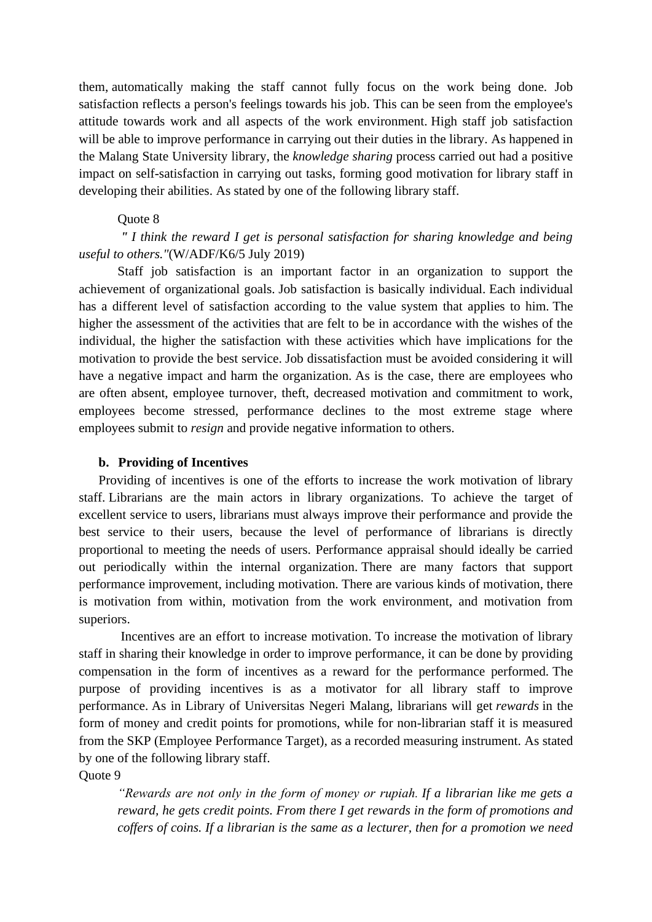them, automatically making the staff cannot fully focus on the work being done. Job satisfaction reflects a person's feelings towards his job. This can be seen from the employee's attitude towards work and all aspects of the work environment. High staff job satisfaction will be able to improve performance in carrying out their duties in the library. As happened in the Malang State University library, the *knowledge sharing* process carried out had a positive impact on self-satisfaction in carrying out tasks, forming good motivation for library staff in developing their abilities. As stated by one of the following library staff.

#### Quote 8

*" I think the reward I get is personal satisfaction for sharing knowledge and being useful to others."*(W/ADF/K6/5 July 2019)

Staff job satisfaction is an important factor in an organization to support the achievement of organizational goals. Job satisfaction is basically individual. Each individual has a different level of satisfaction according to the value system that applies to him. The higher the assessment of the activities that are felt to be in accordance with the wishes of the individual, the higher the satisfaction with these activities which have implications for the motivation to provide the best service. Job dissatisfaction must be avoided considering it will have a negative impact and harm the organization. As is the case, there are employees who are often absent, employee turnover, theft, decreased motivation and commitment to work, employees become stressed, performance declines to the most extreme stage where employees submit to *resign* and provide negative information to others.

#### **b. Providing of Incentives**

Providing of incentives is one of the efforts to increase the work motivation of library staff. Librarians are the main actors in library organizations. To achieve the target of excellent service to users, librarians must always improve their performance and provide the best service to their users, because the level of performance of librarians is directly proportional to meeting the needs of users. Performance appraisal should ideally be carried out periodically within the internal organization. There are many factors that support performance improvement, including motivation. There are various kinds of motivation, there is motivation from within, motivation from the work environment, and motivation from superiors.

Incentives are an effort to increase motivation. To increase the motivation of library staff in sharing their knowledge in order to improve performance, it can be done by providing compensation in the form of incentives as a reward for the performance performed. The purpose of providing incentives is as a motivator for all library staff to improve performance. As in Library of Universitas Negeri Malang, librarians will get *rewards* in the form of money and credit points for promotions, while for non-librarian staff it is measured from the SKP (Employee Performance Target), as a recorded measuring instrument. As stated by one of the following library staff.

Quote 9

*"Rewards are not only in the form of money or rupiah. If a librarian like me gets a reward, he gets credit points. From there I get rewards in the form of promotions and coffers of coins. If a librarian is the same as a lecturer, then for a promotion we need*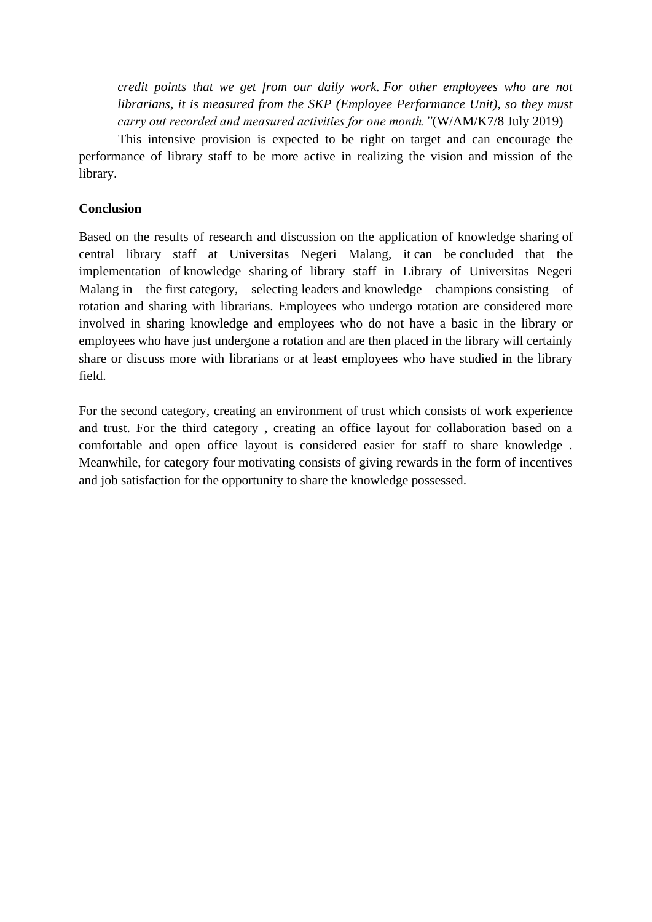*credit points that we get from our daily work. For other employees who are not librarians, it is measured from the SKP (Employee Performance Unit), so they must carry out recorded and measured activities for one month."*(W/AM/K7/8 July 2019)

This intensive provision is expected to be right on target and can encourage the performance of library staff to be more active in realizing the vision and mission of the library.

#### **Conclusion**

Based on the results of research and discussion on the application of knowledge sharing of central library staff at Universitas Negeri Malang, it can be concluded that the implementation of knowledge sharing of library staff in Library of Universitas Negeri Malang in the first category, selecting leaders and knowledge champions consisting of rotation and sharing with librarians. Employees who undergo rotation are considered more involved in sharing knowledge and employees who do not have a basic in the library or employees who have just undergone a rotation and are then placed in the library will certainly share or discuss more with librarians or at least employees who have studied in the library field.

For the second category, creating an environment of trust which consists of work experience and trust. For the third category , creating an office layout for collaboration based on a comfortable and open office layout is considered easier for staff to share knowledge . Meanwhile, for category four motivating consists of giving rewards in the form of incentives and job satisfaction for the opportunity to share the knowledge possessed.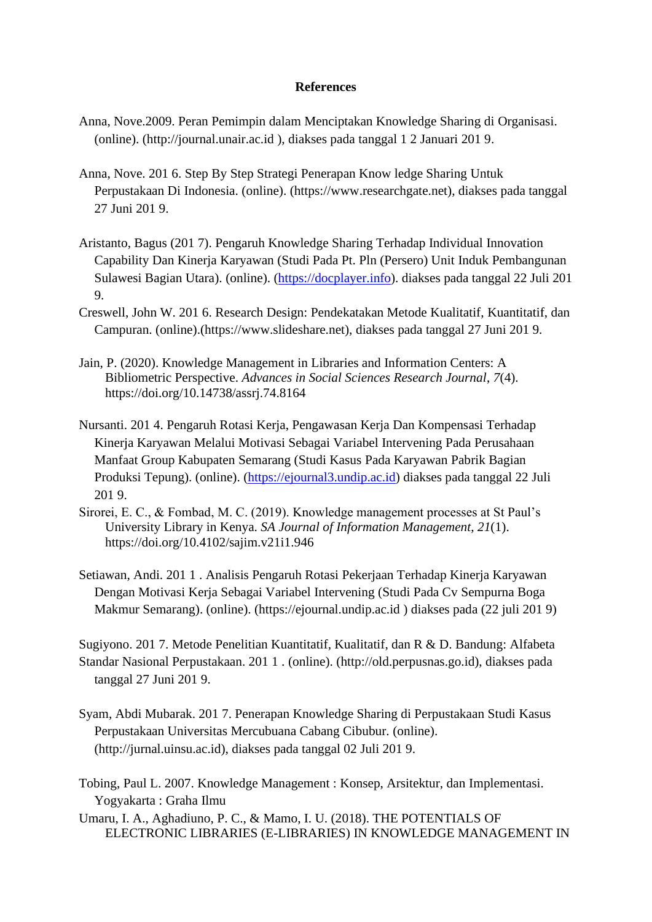#### **References**

- Anna, Nove.2009. Peran Pemimpin dalam Menciptakan Knowledge Sharing di Organisasi. (online). (http://journal.unair.ac.id ), diakses pada tanggal 1 2 Januari 201 9.
- Anna, Nove. 201 6. Step By Step Strategi Penerapan Know ledge Sharing Untuk Perpustakaan Di Indonesia. (online). (https://www.researchgate.net), diakses pada tanggal 27 Juni 201 9.
- Aristanto, Bagus (201 7). Pengaruh Knowledge Sharing Terhadap Individual Innovation Capability Dan Kinerja Karyawan (Studi Pada Pt. Pln (Persero) Unit Induk Pembangunan Sulawesi Bagian Utara). (online). [\(https://docplayer.info\)](https://docplayer.info/). diakses pada tanggal 22 Juli 201 9.
- Creswell, John W. 201 6. Research Design: Pendekatakan Metode Kualitatif, Kuantitatif, dan Campuran. (online).(https://www.slideshare.net), diakses pada tanggal 27 Juni 201 9.
- Jain, P. (2020). Knowledge Management in Libraries and Information Centers: A Bibliometric Perspective. *Advances in Social Sciences Research Journal*, *7*(4). https://doi.org/10.14738/assrj.74.8164
- Nursanti. 201 4. Pengaruh Rotasi Kerja, Pengawasan Kerja Dan Kompensasi Terhadap Kinerja Karyawan Melalui Motivasi Sebagai Variabel Intervening Pada Perusahaan Manfaat Group Kabupaten Semarang (Studi Kasus Pada Karyawan Pabrik Bagian Produksi Tepung). (online). [\(https://ejournal3.undip.ac.id\)](https://ejournal3.undip.ac.id/) diakses pada tanggal 22 Juli 201 9.
- Sirorei, E. C., & Fombad, M. C. (2019). Knowledge management processes at St Paul's University Library in Kenya. *SA Journal of Information Management*, *21*(1). https://doi.org/10.4102/sajim.v21i1.946
- Setiawan, Andi. 201 1 . Analisis Pengaruh Rotasi Pekerjaan Terhadap Kinerja Karyawan Dengan Motivasi Kerja Sebagai Variabel Intervening (Studi Pada Cv Sempurna Boga Makmur Semarang). (online). (https://ejournal.undip.ac.id ) diakses pada (22 juli 201 9)
- Sugiyono. 201 7. Metode Penelitian Kuantitatif, Kualitatif, dan R & D. Bandung: Alfabeta Standar Nasional Perpustakaan. 201 1 . (online). (http://old.perpusnas.go.id), diakses pada tanggal 27 Juni 201 9.
- Syam, Abdi Mubarak. 201 7. Penerapan Knowledge Sharing di Perpustakaan Studi Kasus Perpustakaan Universitas Mercubuana Cabang Cibubur. (online). (http://jurnal.uinsu.ac.id), diakses pada tanggal 02 Juli 201 9.
- Tobing, Paul L. 2007. Knowledge Management : Konsep, Arsitektur, dan Implementasi. Yogyakarta : Graha Ilmu
- Umaru, I. A., Aghadiuno, P. C., & Mamo, I. U. (2018). THE POTENTIALS OF ELECTRONIC LIBRARIES (E-LIBRARIES) IN KNOWLEDGE MANAGEMENT IN